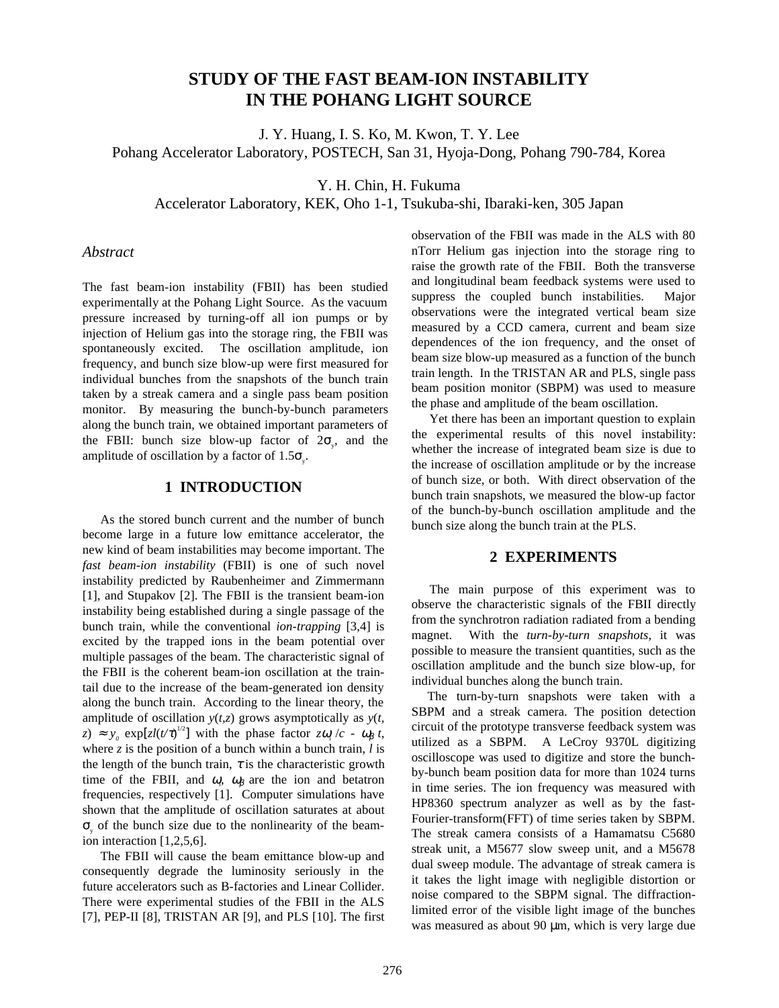# **STUDY OF THE FAST BEAM-ION INSTABILITY IN THE POHANG LIGHT SOURCE**

J. Y. Huang, I. S. Ko, M. Kwon, T. Y. Lee Pohang Accelerator Laboratory, POSTECH, San 31, Hyoja-Dong, Pohang 790-784, Korea

Y. H. Chin, H. Fukuma

Accelerator Laboratory, KEK, Oho 1-1, Tsukuba-shi, Ibaraki-ken, 305 Japan

### *Abstract*

The fast beam-ion instability (FBII) has been studied experimentally at the Pohang Light Source. As the vacuum pressure increased by turning-off all ion pumps or by injection of Helium gas into the storage ring, the FBII was spontaneously excited. The oscillation amplitude, ion frequency, and bunch size blow-up were first measured for individual bunches from the snapshots of the bunch train taken by a streak camera and a single pass beam position monitor. By measuring the bunch-by-bunch parameters along the bunch train, we obtained important parameters of the FBII: bunch size blow-up factor of  $2\sigma_y$ , and the amplitude of oscillation by a factor of  $1.5\sigma_{y}$ .

#### **1 INTRODUCTION**

As the stored bunch current and the number of bunch become large in a future low emittance accelerator, the new kind of beam instabilities may become important. The *fast beam-ion instability* (FBII) is one of such novel instability predicted by Raubenheimer and Zimmermann [1], and Stupakov [2]. The FBII is the transient beam-ion instability being established during a single passage of the bunch train, while the conventional *ion-trapping* [3,4] is excited by the trapped ions in the beam potential over multiple passages of the beam. The characteristic signal of the FBII is the coherent beam-ion oscillation at the traintail due to the increase of the beam-generated ion density along the bunch train. According to the linear theory, the amplitude of oscillation *y*(*t,z*) grows asymptotically as *y*(*t,*  $(z) \approx y_0 \exp[zl(t/\tau)^{1/2}]$  with the phase factor  $z\omega_i/c - \omega_\beta t$ , where *z* is the position of a bunch within a bunch train, *l* is the length of the bunch train,  $\tau$  is the characteristic growth time of the FBII, and  $\omega$ <sub>*i*</sub>,  $\omega$ <sub>β</sub> are the ion and betatron frequencies, respectively [1]. Computer simulations have shown that the amplitude of oscillation saturates at about  $\sigma_{y}$  of the bunch size due to the nonlinearity of the beamion interaction [1,2,5,6].

The FBII will cause the beam emittance blow-up and consequently degrade the luminosity seriously in the future accelerators such as B-factories and Linear Collider. There were experimental studies of the FBII in the ALS [7], PEP-II [8], TRISTAN AR [9], and PLS [10]. The first observation of the FBII was made in the ALS with 80 nTorr Helium gas injection into the storage ring to raise the growth rate of the FBII. Both the transverse and longitudinal beam feedback systems were used to suppress the coupled bunch instabilities. Major observations were the integrated vertical beam size measured by a CCD camera, current and beam size dependences of the ion frequency, and the onset of beam size blow-up measured as a function of the bunch train length. In the TRISTAN AR and PLS, single pass beam position monitor (SBPM) was used to measure the phase and amplitude of the beam oscillation.

Yet there has been an important question to explain the experimental results of this novel instability: whether the increase of integrated beam size is due to the increase of oscillation amplitude or by the increase of bunch size, or both. With direct observation of the bunch train snapshots, we measured the blow-up factor of the bunch-by-bunch oscillation amplitude and the bunch size along the bunch train at the PLS.

#### **2 EXPERIMENTS**

The main purpose of this experiment was to observe the characteristic signals of the FBII directly from the synchrotron radiation radiated from a bending magnet. With the *turn-by-turn snapshots*, it was possible to measure the transient quantities, such as the oscillation amplitude and the bunch size blow-up, for individual bunches along the bunch train.

 The turn-by-turn snapshots were taken with a SBPM and a streak camera. The position detection circuit of the prototype transverse feedback system was utilized as a SBPM. A LeCroy 9370L digitizing oscilloscope was used to digitize and store the bunchby-bunch beam position data for more than 1024 turns in time series. The ion frequency was measured with HP8360 spectrum analyzer as well as by the fast-Fourier-transform(FFT) of time series taken by SBPM. The streak camera consists of a Hamamatsu C5680 streak unit, a M5677 slow sweep unit, and a M5678 dual sweep module. The advantage of streak camera is it takes the light image with negligible distortion or noise compared to the SBPM signal. The diffractionlimited error of the visible light image of the bunches was measured as about 90  $\mu$ m, which is very large due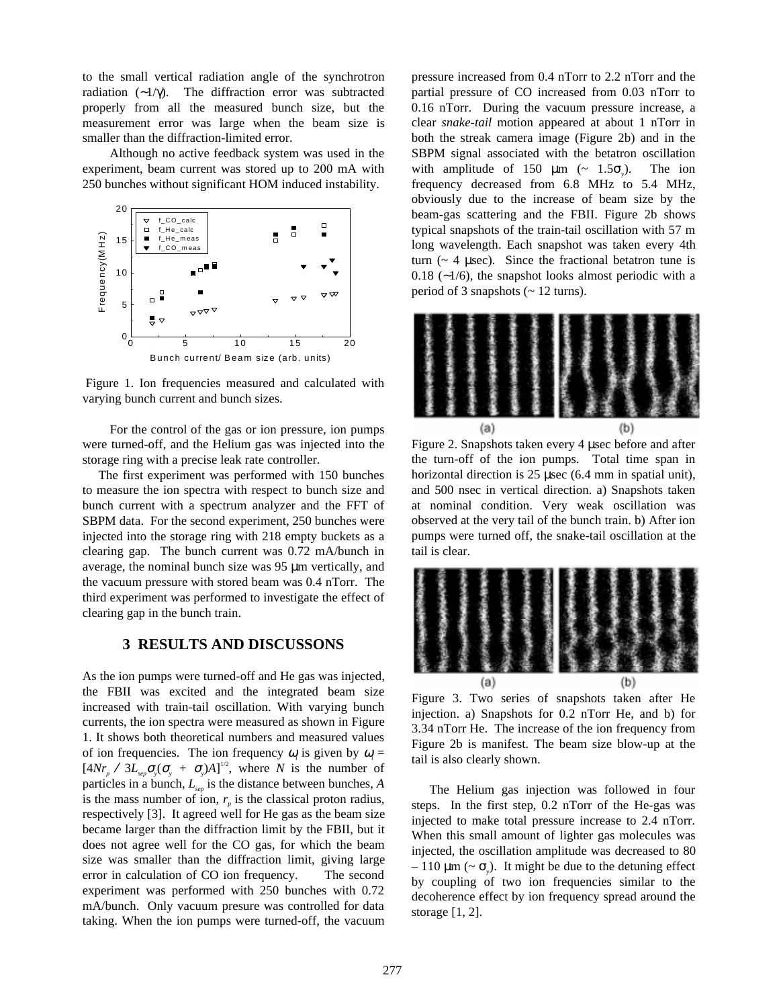to the small vertical radiation angle of the synchrotron radiation (∼1/γ). The diffraction error was subtracted properly from all the measured bunch size, but the measurement error was large when the beam size is smaller than the diffraction-limited error.

Although no active feedback system was used in the experiment, beam current was stored up to 200 mA with 250 bunches without significant HOM induced instability.



 Figure 1. Ion frequencies measured and calculated with varying bunch current and bunch sizes.

For the control of the gas or ion pressure, ion pumps were turned-off, and the Helium gas was injected into the storage ring with a precise leak rate controller.

 The first experiment was performed with 150 bunches to measure the ion spectra with respect to bunch size and bunch current with a spectrum analyzer and the FFT of SBPM data. For the second experiment, 250 bunches were injected into the storage ring with 218 empty buckets as a clearing gap. The bunch current was 0.72 mA/bunch in average, the nominal bunch size was 95 µm vertically, and the vacuum pressure with stored beam was 0.4 nTorr. The third experiment was performed to investigate the effect of clearing gap in the bunch train.

## **3 RESULTS AND DISCUSSONS**

As the ion pumps were turned-off and He gas was injected, the FBII was excited and the integrated beam size increased with train-tail oscillation. With varying bunch currents, the ion spectra were measured as shown in Figure 1. It shows both theoretical numbers and measured values of ion frequencies. The ion frequency  $\omega_i$  is given by  $\omega_i =$  $[4Nr_{p} \, / \, 3L_{sep}\sigma_{y}(\sigma_{y} + \sigma_{y})A]^{1/2}$ , where *N* is the number of particles in a bunch,  $L_{\text{sep}}$  is the distance between bunches, *A* is the mass number of ion,  $r_p$  is the classical proton radius, respectively [3]. It agreed well for He gas as the beam size became larger than the diffraction limit by the FBII, but it does not agree well for the CO gas, for which the beam size was smaller than the diffraction limit, giving large error in calculation of CO ion frequency. The second experiment was performed with 250 bunches with 0.72 mA/bunch. Only vacuum presure was controlled for data taking. When the ion pumps were turned-off, the vacuum

pressure increased from 0.4 nTorr to 2.2 nTorr and the partial pressure of CO increased from 0.03 nTorr to 0.16 nTorr. During the vacuum pressure increase, a clear *snake-tail* motion appeared at about 1 nTorr in both the streak camera image (Figure 2b) and in the SBPM signal associated with the betatron oscillation with amplitude of 150  $\mu$ m (~ 1.5 $\sigma$ ). ). The ion frequency decreased from 6.8 MHz to 5.4 MHz, obviously due to the increase of beam size by the beam-gas scattering and the FBII. Figure 2b shows typical snapshots of the train-tail oscillation with 57 m long wavelength. Each snapshot was taken every 4th turn  $($   $\sim$  4  $\mu$ sec). Since the fractional betatron tune is 0.18 (∼1/6), the snapshot looks almost periodic with a period of 3 snapshots  $\left(\sim 12 \text{ turns}\right)$ .



Figure 2. Snapshots taken every 4 µsec before and after the turn-off of the ion pumps. Total time span in horizontal direction is 25 µsec (6.4 mm in spatial unit), and 500 nsec in vertical direction. a) Snapshots taken at nominal condition. Very weak oscillation was observed at the very tail of the bunch train. b) After ion pumps were turned off, the snake-tail oscillation at the tail is clear.



Figure 3. Two series of snapshots taken after He injection. a) Snapshots for 0.2 nTorr He, and b) for 3.34 nTorr He. The increase of the ion frequency from Figure 2b is manifest. The beam size blow-up at the tail is also clearly shown.

The Helium gas injection was followed in four steps. In the first step, 0.2 nTorr of the He-gas was injected to make total pressure increase to 2.4 nTorr. When this small amount of lighter gas molecules was injected, the oscillation amplitude was decreased to 80  $-110 \mu m \left( \sim \sigma_y \right)$ . It might be due to the detuning effect by coupling of two ion frequencies similar to the decoherence effect by ion frequency spread around the storage [1, 2].